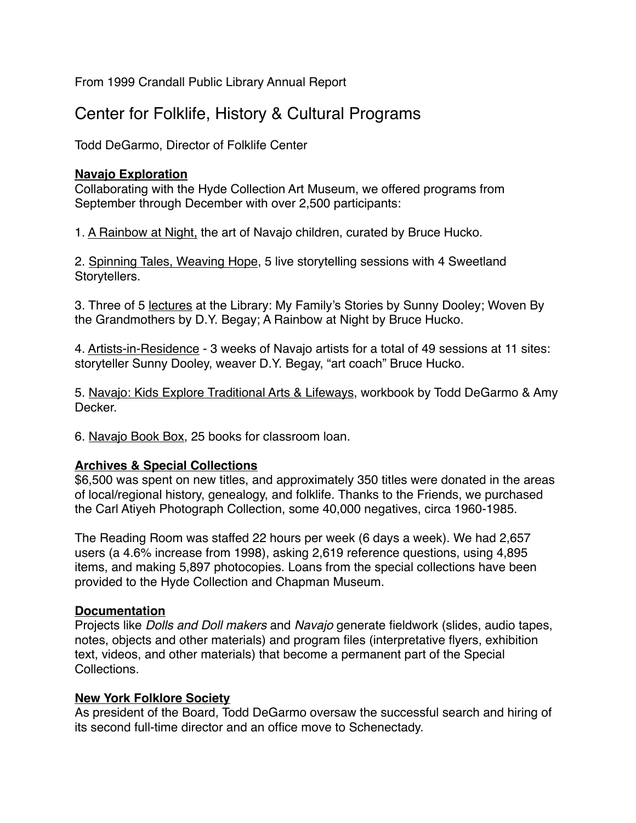From 1999 Crandall Public Library Annual Report

# Center for Folklife, History & Cultural Programs

Todd DeGarmo, Director of Folklife Center

## **Navajo Exploration**

Collaborating with the Hyde Collection Art Museum, we offered programs from September through December with over 2,500 participants:

1. A Rainbow at Night, the art of Navajo children, curated by Bruce Hucko.

2. Spinning Tales, Weaving Hope, 5 live storytelling sessions with 4 Sweetland Storytellers.

3. Three of 5 lectures at the Library: My Family's Stories by Sunny Dooley; Woven By the Grandmothers by D.Y. Begay; A Rainbow at Night by Bruce Hucko.

4. Artists-in-Residence - 3 weeks of Navajo artists for a total of 49 sessions at 11 sites: storyteller Sunny Dooley, weaver D.Y. Begay, "art coach" Bruce Hucko.

5. Navajo: Kids Explore Traditional Arts & Lifeways, workbook by Todd DeGarmo & Amy Decker.

6. Navajo Book Box, 25 books for classroom loan.

## **Archives & Special Collections**

\$6,500 was spent on new titles, and approximately 350 titles were donated in the areas of local/regional history, genealogy, and folklife. Thanks to the Friends, we purchased the Carl Atiyeh Photograph Collection, some 40,000 negatives, circa 1960-1985.

The Reading Room was staffed 22 hours per week (6 days a week). We had 2,657 users (a 4.6% increase from 1998), asking 2,619 reference questions, using 4,895 items, and making 5,897 photocopies. Loans from the special collections have been provided to the Hyde Collection and Chapman Museum.

## **Documentation**

Projects like *Dolls and Doll makers* and *Navajo* generate fieldwork (slides, audio tapes, notes, objects and other materials) and program files (interpretative flyers, exhibition text, videos, and other materials) that become a permanent part of the Special Collections.

## **New York Folklore Society**

As president of the Board, Todd DeGarmo oversaw the successful search and hiring of its second full-time director and an office move to Schenectady.